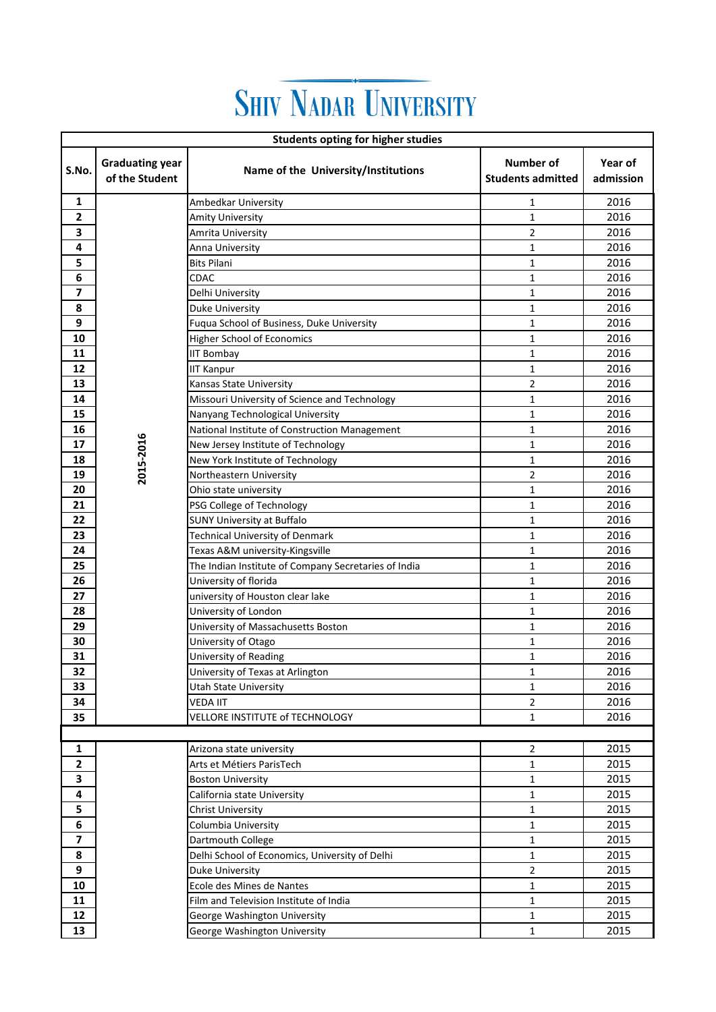## **SHIV NADAR UNIVERSITY**

| <b>Students opting for higher studies</b> |                                          |                                                      |                                       |                      |  |  |  |
|-------------------------------------------|------------------------------------------|------------------------------------------------------|---------------------------------------|----------------------|--|--|--|
| S.No.                                     | <b>Graduating year</b><br>of the Student | Name of the University/Institutions                  | Number of<br><b>Students admitted</b> | Year of<br>admission |  |  |  |
| 1                                         |                                          | Ambedkar University                                  | 1                                     | 2016                 |  |  |  |
| 2                                         |                                          | <b>Amity University</b>                              | 1                                     | 2016                 |  |  |  |
| 3                                         |                                          | Amrita University                                    | $\overline{2}$                        | 2016                 |  |  |  |
| 4                                         |                                          | Anna University                                      | 1                                     | 2016                 |  |  |  |
| 5                                         |                                          | <b>Bits Pilani</b>                                   | 1                                     | 2016                 |  |  |  |
| 6                                         |                                          | <b>CDAC</b>                                          | 1                                     | 2016                 |  |  |  |
| 7                                         |                                          | Delhi University                                     | 1                                     | 2016                 |  |  |  |
| 8                                         |                                          | Duke University                                      | $\mathbf 1$                           | 2016                 |  |  |  |
| 9                                         |                                          | Fuqua School of Business, Duke University            | 1                                     | 2016                 |  |  |  |
| 10                                        |                                          | <b>Higher School of Economics</b>                    | $\mathbf{1}$                          | 2016                 |  |  |  |
| 11                                        |                                          | <b>IIT Bombay</b>                                    | $\mathbf{1}$                          | 2016                 |  |  |  |
| 12                                        |                                          | <b>IIT Kanpur</b>                                    | 1                                     | 2016                 |  |  |  |
| 13                                        |                                          | Kansas State University                              | $\overline{2}$                        | 2016                 |  |  |  |
| 14                                        |                                          | Missouri University of Science and Technology        | 1                                     | 2016                 |  |  |  |
| 15                                        |                                          | Nanyang Technological University                     | 1                                     | 2016                 |  |  |  |
| 16                                        |                                          | National Institute of Construction Management        | 1                                     | 2016                 |  |  |  |
| 17                                        | 2015-2016                                | New Jersey Institute of Technology                   | 1                                     | 2016                 |  |  |  |
| 18                                        |                                          | New York Institute of Technology                     | 1                                     | 2016                 |  |  |  |
| 19                                        |                                          | Northeastern University                              | 2                                     | 2016                 |  |  |  |
| 20                                        |                                          | Ohio state university                                | 1                                     | 2016                 |  |  |  |
| 21                                        |                                          | PSG College of Technology                            | $\mathbf{1}$                          | 2016                 |  |  |  |
| 22                                        |                                          | <b>SUNY University at Buffalo</b>                    | 1                                     | 2016                 |  |  |  |
| 23                                        |                                          | Technical University of Denmark                      | $\mathbf{1}$                          | 2016                 |  |  |  |
| 24                                        |                                          | Texas A&M university-Kingsville                      | 1                                     | 2016                 |  |  |  |
| 25                                        |                                          | The Indian Institute of Company Secretaries of India | 1                                     | 2016                 |  |  |  |
| 26                                        |                                          | University of florida                                | 1                                     | 2016                 |  |  |  |
| 27                                        |                                          | university of Houston clear lake                     | 1                                     | 2016                 |  |  |  |
| 28                                        |                                          | University of London                                 | 1                                     | 2016                 |  |  |  |
| 29                                        |                                          | University of Massachusetts Boston                   | $\mathbf 1$                           | 2016                 |  |  |  |
| 30                                        |                                          | University of Otago                                  | 1                                     | 2016                 |  |  |  |
| 31                                        |                                          | University of Reading                                | $\mathbf{1}$                          | 2016                 |  |  |  |
| 32                                        |                                          | University of Texas at Arlington                     | 1                                     | 2016                 |  |  |  |
| 33                                        |                                          | Utah State University                                | $\mathbf{1}$                          | 2016                 |  |  |  |
| 34                                        |                                          | VEDA IIT                                             | $\overline{c}$                        | 2016                 |  |  |  |
| 35                                        |                                          | VELLORE INSTITUTE of TECHNOLOGY                      | $\mathbf{1}$                          | 2016                 |  |  |  |
|                                           |                                          |                                                      |                                       |                      |  |  |  |
| 1                                         |                                          | Arizona state university                             | 2                                     | 2015                 |  |  |  |
| $\mathbf{2}$                              |                                          | Arts et Métiers ParisTech                            | 1                                     | 2015                 |  |  |  |
| 3                                         |                                          | <b>Boston University</b>                             | $\mathbf{1}$                          | 2015                 |  |  |  |
| 4                                         |                                          | California state University                          | $\mathbf{1}$                          | 2015                 |  |  |  |
| 5                                         |                                          | <b>Christ University</b>                             | $\mathbf{1}$                          | 2015                 |  |  |  |
| 6                                         |                                          | Columbia University                                  | $\mathbf{1}$                          | 2015                 |  |  |  |
| $\overline{\phantom{a}}$                  |                                          | Dartmouth College                                    | $\mathbf{1}$                          | 2015                 |  |  |  |
| 8                                         |                                          | Delhi School of Economics, University of Delhi       | $\mathbf{1}$                          | 2015                 |  |  |  |
| 9                                         |                                          | Duke University                                      | 2                                     | 2015                 |  |  |  |
| 10                                        |                                          | Ecole des Mines de Nantes                            | 1                                     | 2015                 |  |  |  |
| 11                                        |                                          | Film and Television Institute of India               | 1                                     | 2015                 |  |  |  |
| 12                                        |                                          | George Washington University                         | $\mathbf{1}$                          | 2015                 |  |  |  |
| 13                                        |                                          | George Washington University                         | $\mathbf 1$                           | 2015                 |  |  |  |